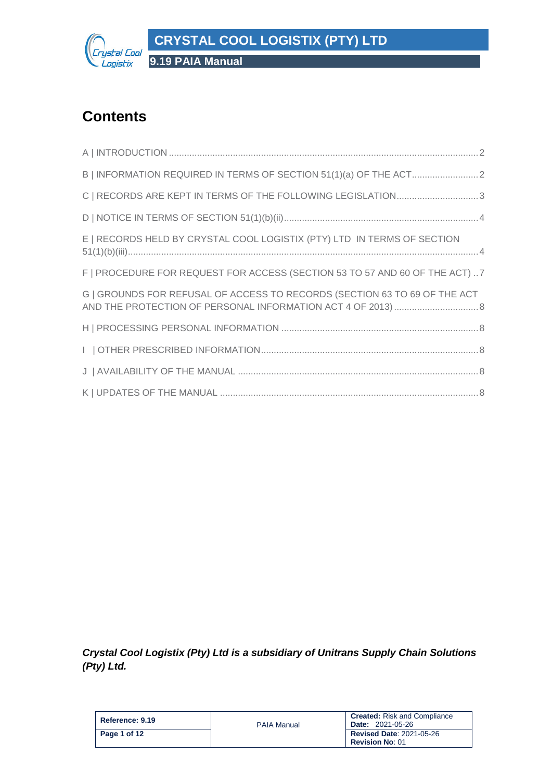

# **Contents**

| C   RECORDS ARE KEPT IN TERMS OF THE FOLLOWING LEGISLATION3                 |
|-----------------------------------------------------------------------------|
|                                                                             |
| E   RECORDS HELD BY CRYSTAL COOL LOGISTIX (PTY) LTD IN TERMS OF SECTION     |
| F   PROCEDURE FOR REQUEST FOR ACCESS (SECTION 53 TO 57 AND 60 OF THE ACT) 7 |
| G   GROUNDS FOR REFUSAL OF ACCESS TO RECORDS (SECTION 63 TO 69 OF THE ACT   |
|                                                                             |
|                                                                             |
|                                                                             |
|                                                                             |

*Crystal Cool Logistix (Pty) Ltd is a subsidiary of Unitrans Supply Chain Solutions (Pty) Ltd.*

| Reference: 9.19 | <b>PAIA Manual</b> | <b>Created:</b> Risk and Compliance<br><b>Date: 2021-05-26</b> |
|-----------------|--------------------|----------------------------------------------------------------|
| Page 1 of 12    |                    | <b>Revised Date: 2021-05-26</b><br><b>Revision No: 01</b>      |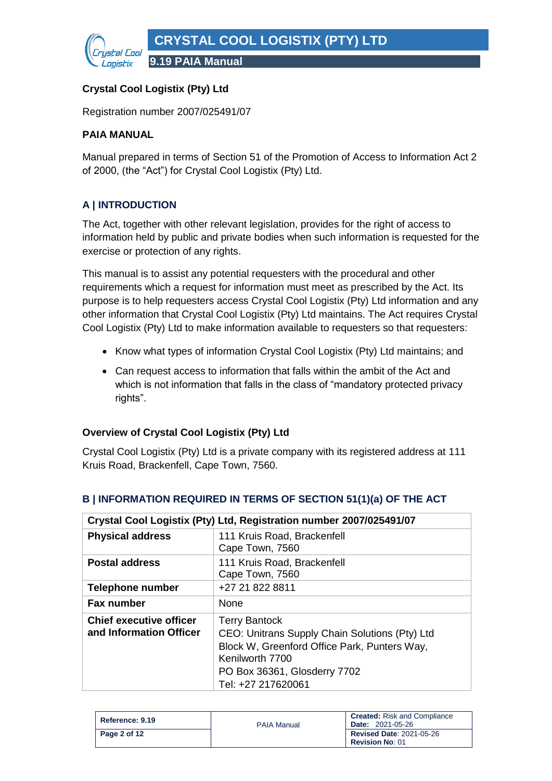

## **Crystal Cool Logistix (Pty) Ltd**

Registration number 2007/025491/07

#### **PAIA MANUAL**

Manual prepared in terms of Section 51 of the Promotion of Access to Information Act 2 of 2000, (the "Act") for Crystal Cool Logistix (Pty) Ltd.

# <span id="page-1-0"></span>**A | INTRODUCTION**

The Act, together with other relevant legislation, provides for the right of access to information held by public and private bodies when such information is requested for the exercise or protection of any rights.

This manual is to assist any potential requesters with the procedural and other requirements which a request for information must meet as prescribed by the Act. Its purpose is to help requesters access Crystal Cool Logistix (Pty) Ltd information and any other information that Crystal Cool Logistix (Pty) Ltd maintains. The Act requires Crystal Cool Logistix (Pty) Ltd to make information available to requesters so that requesters:

- Know what types of information Crystal Cool Logistix (Pty) Ltd maintains; and
- Can request access to information that falls within the ambit of the Act and which is not information that falls in the class of "mandatory protected privacy rights".

#### **Overview of Crystal Cool Logistix (Pty) Ltd**

Crystal Cool Logistix (Pty) Ltd is a private company with its registered address at 111 Kruis Road, Brackenfell, Cape Town, 7560.

|                                                           | Crystal Cool Logistix (Pty) Ltd, Registration number 2007/025491/07                                                                                                                             |
|-----------------------------------------------------------|-------------------------------------------------------------------------------------------------------------------------------------------------------------------------------------------------|
| <b>Physical address</b>                                   | 111 Kruis Road, Brackenfell<br>Cape Town, 7560                                                                                                                                                  |
| <b>Postal address</b>                                     | 111 Kruis Road, Brackenfell<br>Cape Town, 7560                                                                                                                                                  |
| <b>Telephone number</b>                                   | +27 21 822 8811                                                                                                                                                                                 |
| <b>Fax number</b>                                         | None                                                                                                                                                                                            |
| <b>Chief executive officer</b><br>and Information Officer | <b>Terry Bantock</b><br>CEO: Unitrans Supply Chain Solutions (Pty) Ltd<br>Block W, Greenford Office Park, Punters Way,<br>Kenilworth 7700<br>PO Box 36361, Glosderry 7702<br>Tel: +27 217620061 |

#### <span id="page-1-1"></span>**B | INFORMATION REQUIRED IN TERMS OF SECTION 51(1)(a) OF THE ACT**

| Reference: 9.19 | <b>PAIA Manual</b> | <b>Created:</b> Risk and Compliance<br><b>Date: 2021-05-26</b> |
|-----------------|--------------------|----------------------------------------------------------------|
| Page 2 of 12    |                    | <b>Revised Date: 2021-05-26</b><br><b>Revision No: 01</b>      |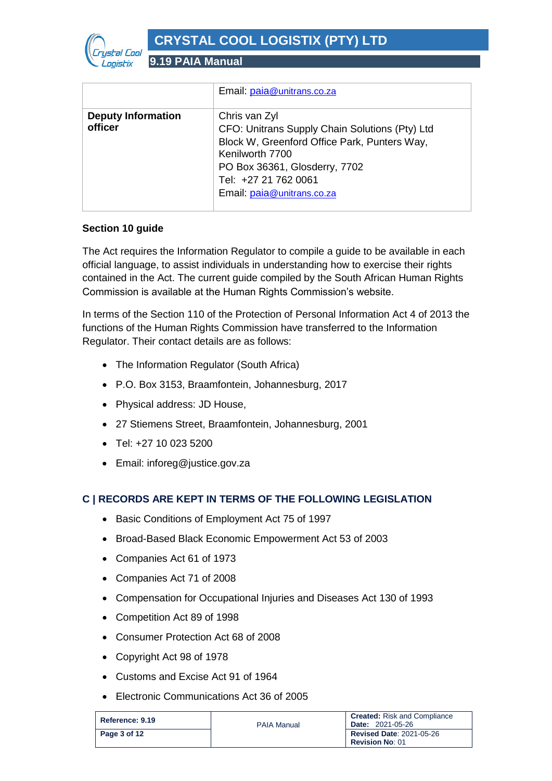

|                                      | Email: paia@unitrans.co.za                                                                                                                                                                                                |
|--------------------------------------|---------------------------------------------------------------------------------------------------------------------------------------------------------------------------------------------------------------------------|
| <b>Deputy Information</b><br>officer | Chris van Zyl<br>CFO: Unitrans Supply Chain Solutions (Pty) Ltd<br>Block W, Greenford Office Park, Punters Way,<br>Kenilworth 7700<br>PO Box 36361, Glosderry, 7702<br>Tel: +27 21 762 0061<br>Email: paia@unitrans.co.za |

#### **Section 10 guide**

The Act requires the Information Regulator to compile a guide to be available in each official language, to assist individuals in understanding how to exercise their rights contained in the Act. The current guide compiled by the South African Human Rights Commission is available at the Human Rights Commission's website.

In terms of the Section 110 of the Protection of Personal Information Act 4 of 2013 the functions of the Human Rights Commission have transferred to the Information Regulator. Their contact details are as follows:

- The Information Regulator (South Africa)
- P.O. Box 3153, Braamfontein, Johannesburg, 2017
- Physical address: JD House,
- 27 Stiemens Street, Braamfontein, Johannesburg, 2001
- Tel: +27 10 023 5200
- Email: inforeg@justice.gov.za

#### <span id="page-2-0"></span>**C | RECORDS ARE KEPT IN TERMS OF THE FOLLOWING LEGISLATION**

- Basic Conditions of Employment Act 75 of 1997
- Broad-Based Black Economic Empowerment Act 53 of 2003
- Companies Act 61 of 1973
- Companies Act 71 of 2008
- Compensation for Occupational Injuries and Diseases Act 130 of 1993
- Competition Act 89 of 1998
- Consumer Protection Act 68 of 2008
- Copyright Act 98 of 1978
- Customs and Excise Act 91 of 1964
- Electronic Communications Act 36 of 2005

| Reference: 9.19 | <b>PAIA Manual</b> | <b>Created:</b> Risk and Compliance<br><b>Date: 2021-05-26</b> |
|-----------------|--------------------|----------------------------------------------------------------|
| Page 3 of 12    |                    | <b>Revised Date: 2021-05-26</b><br><b>Revision No: 01</b>      |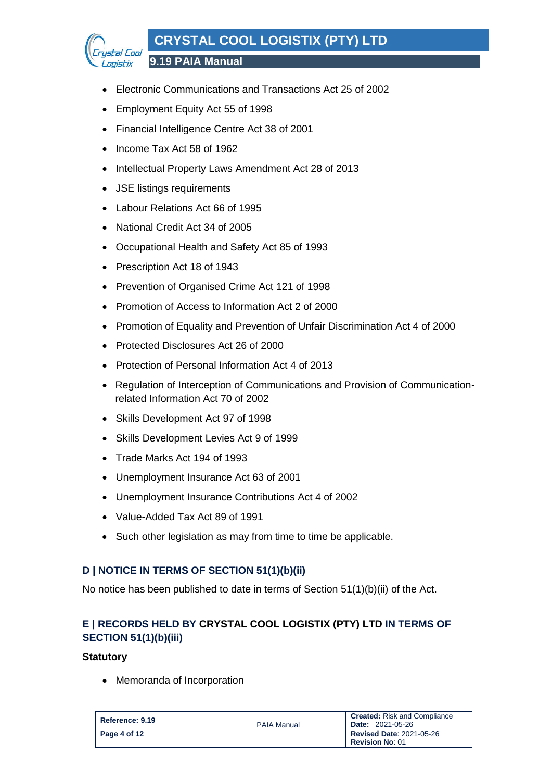# **CRYSTAL COOL LOGISTIX (PTY) LTD**



**9.19 PAIA Manual**

- Electronic Communications and Transactions Act 25 of 2002
- Employment Equity Act 55 of 1998
- Financial Intelligence Centre Act 38 of 2001
- Income Tax Act 58 of 1962
- Intellectual Property Laws Amendment Act 28 of 2013
- JSE listings requirements
- Labour Relations Act 66 of 1995
- National Credit Act 34 of 2005
- Occupational Health and Safety Act 85 of 1993
- Prescription Act 18 of 1943
- Prevention of Organised Crime Act 121 of 1998
- Promotion of Access to Information Act 2 of 2000
- Promotion of Equality and Prevention of Unfair Discrimination Act 4 of 2000
- Protected Disclosures Act 26 of 2000
- Protection of Personal Information Act 4 of 2013
- Regulation of Interception of Communications and Provision of Communicationrelated Information Act 70 of 2002
- Skills Development Act 97 of 1998
- Skills Development Levies Act 9 of 1999
- Trade Marks Act 194 of 1993
- Unemployment Insurance Act 63 of 2001
- Unemployment Insurance Contributions Act 4 of 2002
- Value-Added Tax Act 89 of 1991
- Such other legislation as may from time to time be applicable.

#### <span id="page-3-0"></span>**D | NOTICE IN TERMS OF SECTION 51(1)(b)(ii)**

No notice has been published to date in terms of Section 51(1)(b)(ii) of the Act.

# <span id="page-3-1"></span>**E | RECORDS HELD BY CRYSTAL COOL LOGISTIX (PTY) LTD IN TERMS OF SECTION 51(1)(b)(iii)**

#### **Statutory**

• Memoranda of Incorporation

| Reference: 9.19 | <b>PAIA Manual</b> | <b>Created:</b> Risk and Compliance<br><b>Date: 2021-05-26</b> |
|-----------------|--------------------|----------------------------------------------------------------|
| Page 4 of 12    |                    | <b>Revised Date: 2021-05-26</b><br><b>Revision No: 01</b>      |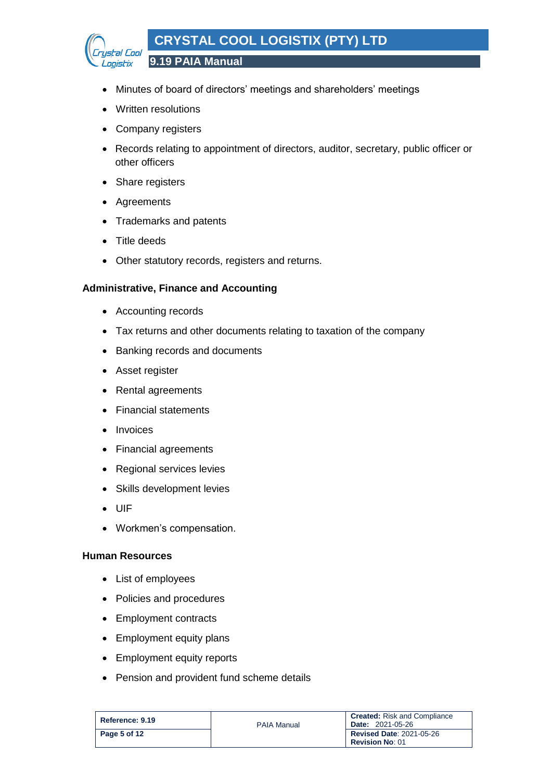

- Minutes of board of directors' meetings and shareholders' meetings
- Written resolutions
- Company registers
- Records relating to appointment of directors, auditor, secretary, public officer or other officers
- Share registers
- Agreements
- Trademarks and patents
- Title deeds
- Other statutory records, registers and returns.

#### **Administrative, Finance and Accounting**

- Accounting records
- Tax returns and other documents relating to taxation of the company
- Banking records and documents
- Asset register
- Rental agreements
- Financial statements
- Invoices
- Financial agreements
- Regional services levies
- Skills development levies
- UIF
- Workmen's compensation.

#### **Human Resources**

- List of employees
- Policies and procedures
- Employment contracts
- Employment equity plans
- Employment equity reports
- Pension and provident fund scheme details

| Reference: 9.19 | <b>PAIA Manual</b> | <b>Created:</b> Risk and Compliance<br><b>Date: 2021-05-26</b> |
|-----------------|--------------------|----------------------------------------------------------------|
| Page 5 of 12    |                    | <b>Revised Date: 2021-05-26</b><br><b>Revision No: 01</b>      |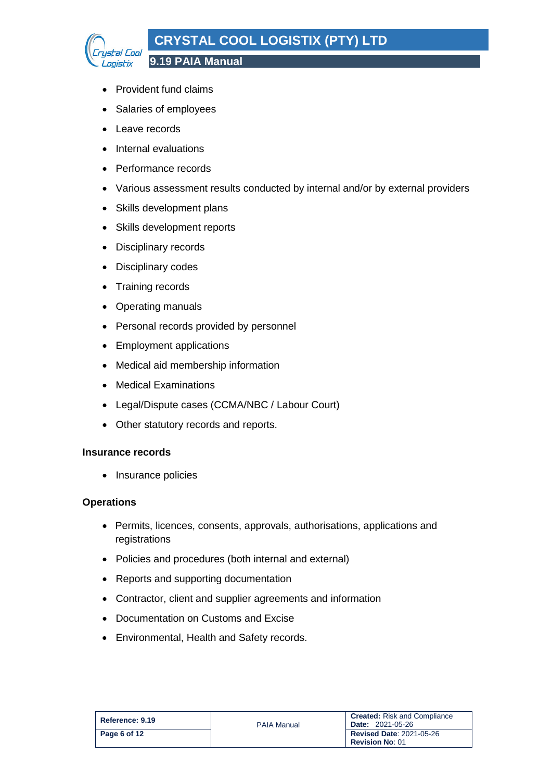# **CRYSTAL COOL LOGISTIX (PTY) LTD**



**9.19 PAIA Manual**

- Provident fund claims
- Salaries of employees
- Leave records
- Internal evaluations
- Performance records
- Various assessment results conducted by internal and/or by external providers
- Skills development plans
- Skills development reports
- Disciplinary records
- Disciplinary codes
- Training records
- Operating manuals
- Personal records provided by personnel
- Employment applications
- Medical aid membership information
- Medical Examinations
- Legal/Dispute cases (CCMA/NBC / Labour Court)
- Other statutory records and reports.

#### **Insurance records**

• Insurance policies

#### **Operations**

- Permits, licences, consents, approvals, authorisations, applications and registrations
- Policies and procedures (both internal and external)
- Reports and supporting documentation
- Contractor, client and supplier agreements and information
- Documentation on Customs and Excise
- Environmental, Health and Safety records.

| Reference: 9.19 | <b>PAIA Manual</b> | <b>Created:</b> Risk and Compliance<br><b>Date: 2021-05-26</b> |
|-----------------|--------------------|----------------------------------------------------------------|
| Page 6 of 12    |                    | <b>Revised Date: 2021-05-26</b><br><b>Revision No: 01</b>      |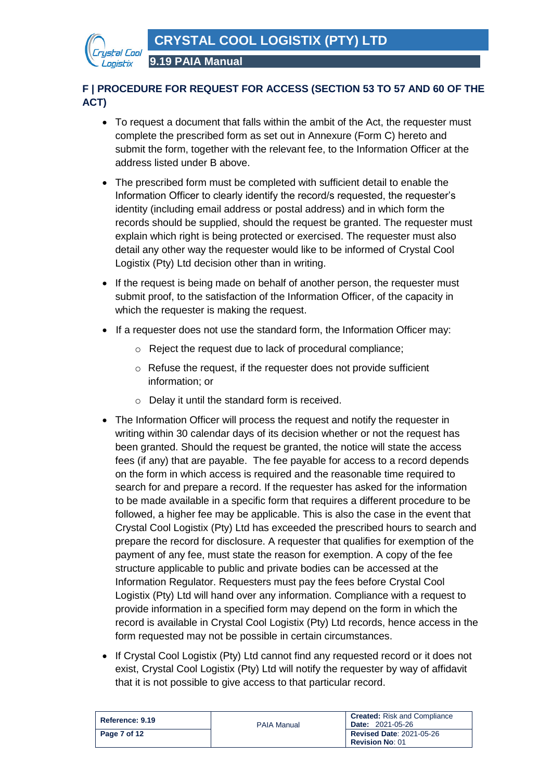

# <span id="page-6-0"></span>**F | PROCEDURE FOR REQUEST FOR ACCESS (SECTION 53 TO 57 AND 60 OF THE ACT)**

- To request a document that falls within the ambit of the Act, the requester must complete the prescribed form as set out in Annexure (Form C) hereto and submit the form, together with the relevant fee, to the Information Officer at the address listed under B above.
- The prescribed form must be completed with sufficient detail to enable the Information Officer to clearly identify the record/s requested, the requester's identity (including email address or postal address) and in which form the records should be supplied, should the request be granted. The requester must explain which right is being protected or exercised. The requester must also detail any other way the requester would like to be informed of Crystal Cool Logistix (Pty) Ltd decision other than in writing.
- If the request is being made on behalf of another person, the requester must submit proof, to the satisfaction of the Information Officer, of the capacity in which the requester is making the request.
- If a requester does not use the standard form, the Information Officer may:
	- o Reject the request due to lack of procedural compliance;
	- o Refuse the request, if the requester does not provide sufficient information; or
	- o Delay it until the standard form is received.
- The Information Officer will process the request and notify the requester in writing within 30 calendar days of its decision whether or not the request has been granted. Should the request be granted, the notice will state the access fees (if any) that are payable. The fee payable for access to a record depends on the form in which access is required and the reasonable time required to search for and prepare a record. If the requester has asked for the information to be made available in a specific form that requires a different procedure to be followed, a higher fee may be applicable. This is also the case in the event that Crystal Cool Logistix (Pty) Ltd has exceeded the prescribed hours to search and prepare the record for disclosure. A requester that qualifies for exemption of the payment of any fee, must state the reason for exemption. A copy of the fee structure applicable to public and private bodies can be accessed at the Information Regulator. Requesters must pay the fees before Crystal Cool Logistix (Pty) Ltd will hand over any information. Compliance with a request to provide information in a specified form may depend on the form in which the record is available in Crystal Cool Logistix (Pty) Ltd records, hence access in the form requested may not be possible in certain circumstances.
- If Crystal Cool Logistix (Pty) Ltd cannot find any requested record or it does not exist, Crystal Cool Logistix (Pty) Ltd will notify the requester by way of affidavit that it is not possible to give access to that particular record.

| Reference: 9.19 | <b>PAIA Manual</b> | <b>Created:</b> Risk and Compliance<br><b>Date: 2021-05-26</b> |
|-----------------|--------------------|----------------------------------------------------------------|
| Page 7 of 12    |                    | <b>Revised Date: 2021-05-26</b>                                |
|                 |                    | <b>Revision No: 01</b>                                         |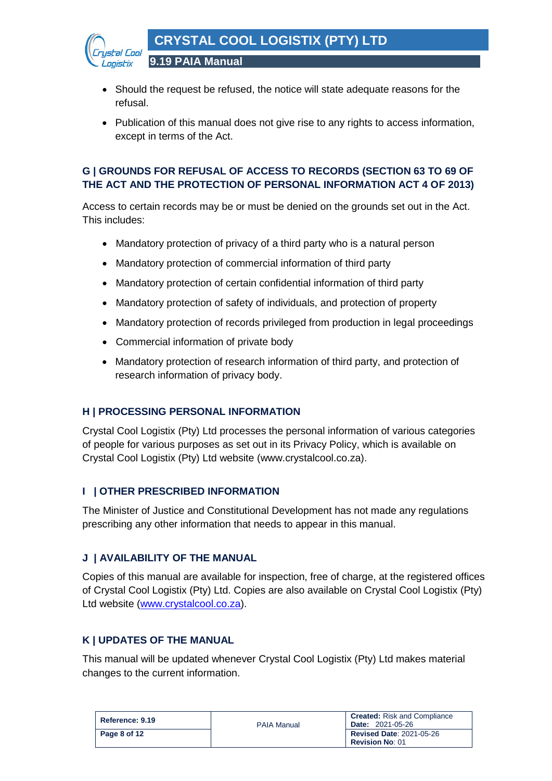

- Should the request be refused, the notice will state adequate reasons for the refusal.
- Publication of this manual does not give rise to any rights to access information, except in terms of the Act.

# <span id="page-7-0"></span>**G | GROUNDS FOR REFUSAL OF ACCESS TO RECORDS (SECTION 63 TO 69 OF THE ACT AND THE PROTECTION OF PERSONAL INFORMATION ACT 4 OF 2013)**

Access to certain records may be or must be denied on the grounds set out in the Act. This includes:

- Mandatory protection of privacy of a third party who is a natural person
- Mandatory protection of commercial information of third party
- Mandatory protection of certain confidential information of third party
- Mandatory protection of safety of individuals, and protection of property
- Mandatory protection of records privileged from production in legal proceedings
- Commercial information of private body

**9.19 PAIA Manual**

• Mandatory protection of research information of third party, and protection of research information of privacy body.

#### <span id="page-7-1"></span>**H | PROCESSING PERSONAL INFORMATION**

Crystal Cool Logistix (Pty) Ltd processes the personal information of various categories of people for various purposes as set out in its Privacy Policy, which is available on Crystal Cool Logistix (Pty) Ltd website (www.crystalcool.co.za).

#### <span id="page-7-2"></span>**I | OTHER PRESCRIBED INFORMATION**

The Minister of Justice and Constitutional Development has not made any regulations prescribing any other information that needs to appear in this manual.

#### <span id="page-7-3"></span>**J | AVAILABILITY OF THE MANUAL**

Copies of this manual are available for inspection, free of charge, at the registered offices of Crystal Cool Logistix (Pty) Ltd. Copies are also available on Crystal Cool Logistix (Pty) Ltd website [\(www.crystalcool.co.za\)](http://www.crystalcool.co.za/).

#### <span id="page-7-4"></span>**K | UPDATES OF THE MANUAL**

This manual will be updated whenever Crystal Cool Logistix (Pty) Ltd makes material changes to the current information.

| Reference: 9.19 | <b>PAIA Manual</b> | <b>Created:</b> Risk and Compliance<br><b>Date: 2021-05-26</b> |
|-----------------|--------------------|----------------------------------------------------------------|
| Page 8 of 12    |                    | <b>Revised Date: 2021-05-26</b><br><b>Revision No: 01</b>      |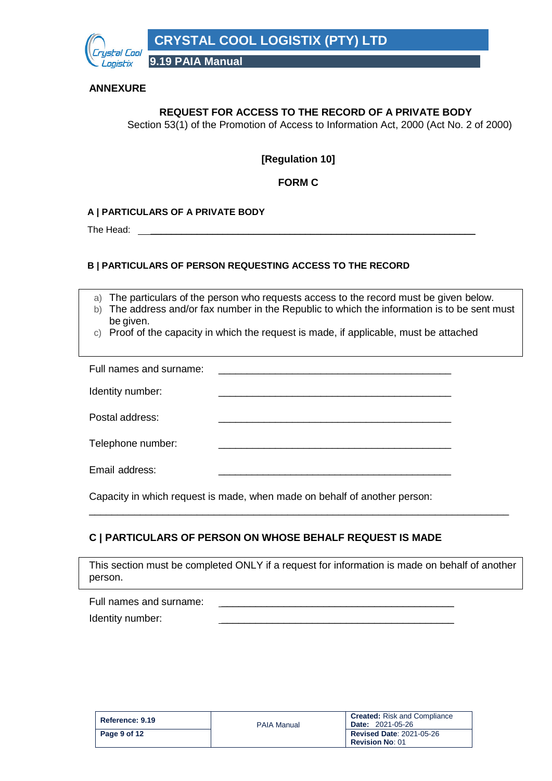

#### **ANNEXURE**

#### **REQUEST FOR ACCESS TO THE RECORD OF A PRIVATE BODY**

Section 53(1) of the Promotion of Access to Information Act, 2000 (Act No. 2 of 2000)

#### **[Regulation 10]**

#### **FORM C**

#### **A | PARTICULARS OF A PRIVATE BODY**

The Head: \_

#### **B | PARTICULARS OF PERSON REQUESTING ACCESS TO THE RECORD**

a) The particulars of the person who requests access to the record must be given below.

- b) The address and/or fax number in the Republic to which the information is to be sent must be given.
- c) Proof of the capacity in which the request is made, if applicable, must be attached

| Full names and surname: |  |
|-------------------------|--|
| Identity number:        |  |
| Postal address:         |  |
| Telephone number:       |  |
| Email address:          |  |

Capacity in which request is made, when made on behalf of another person:

#### **C | PARTICULARS OF PERSON ON WHOSE BEHALF REQUEST IS MADE**

This section must be completed ONLY if a request for information is made on behalf of another person.

\_\_\_\_\_\_\_\_\_\_\_\_\_\_\_\_\_\_\_\_\_\_\_\_\_\_\_\_\_\_\_\_\_\_\_\_\_\_\_\_\_\_\_\_\_\_\_\_\_\_\_\_\_\_\_\_\_\_\_\_\_\_\_\_\_\_\_\_\_\_\_\_\_\_

| Full names and surname: |  |
|-------------------------|--|
| Identity number:        |  |

| Reference: 9.19 | <b>PAIA Manual</b> | <b>Created:</b> Risk and Compliance<br><b>Date: 2021-05-26</b> |
|-----------------|--------------------|----------------------------------------------------------------|
| Page 9 of 12    |                    | <b>Revised Date: 2021-05-26</b><br><b>Revision No: 01</b>      |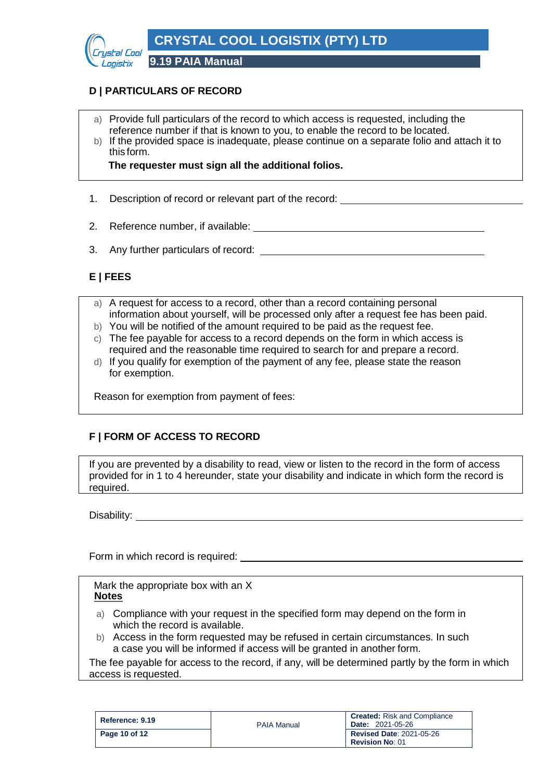

# **D | PARTICULARS OF RECORD**

- a) Provide full particulars of the record to which access is requested, including the reference number if that is known to you, to enable the record to be located.
- b) If the provided space is inadequate, please continue on a separate folio and attach it to this form.

**The requester must sign all the additional folios.**

- 1. Description of record or relevant part of the record:
- 2. Reference number, if available:
- 3. Any further particulars of record:

# **E | FEES**

- a) A request for access to a record, other than a record containing personal information about yourself, will be processed only after a request fee has been paid.
- b) You will be notified of the amount required to be paid as the request fee.
- c) The fee payable for access to a record depends on the form in which access is required and the reasonable time required to search for and prepare a record.
- d) If you qualify for exemption of the payment of any fee, please state the reason for exemption.

Reason for exemption from payment of fees:

# **F | FORM OF ACCESS TO RECORD**

If you are prevented by a disability to read, view or listen to the record in the form of access provided for in 1 to 4 hereunder, state your disability and indicate in which form the record is required.

Disability: **Disability:**  $\overline{a}$ 

Form in which record is required:

Mark the appropriate box with an X **Notes**

- a) Compliance with your request in the specified form may depend on the form in which the record is available.
- b) Access in the form requested may be refused in certain circumstances. In such a case you will be informed if access will be granted in another form.

The fee payable for access to the record, if any, will be determined partly by the form in which access is requested.

| Reference: 9.19 | <b>PAIA Manual</b> | <b>Created:</b> Risk and Compliance<br><b>Date: 2021-05-26</b> |
|-----------------|--------------------|----------------------------------------------------------------|
| Page 10 of 12   |                    | <b>Revised Date: 2021-05-26</b><br><b>Revision No: 01</b>      |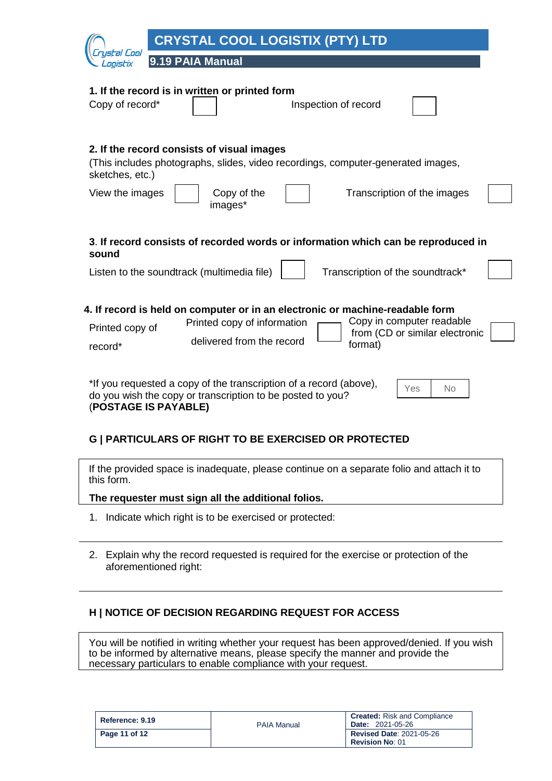|                                    | <b>CRYSTAL COOL LOGISTIX (PTY) LTD</b>                                                                                                                                                                              |
|------------------------------------|---------------------------------------------------------------------------------------------------------------------------------------------------------------------------------------------------------------------|
| stal Cool<br>onistix               | 9.19 PAIA Manual                                                                                                                                                                                                    |
| Copy of record*                    | 1. If the record is in written or printed form<br>Inspection of record                                                                                                                                              |
| sketches, etc.)<br>View the images | 2. If the record consists of visual images<br>(This includes photographs, slides, video recordings, computer-generated images,<br>Copy of the<br>Transcription of the images<br>images*                             |
| sound                              | 3. If record consists of recorded words or information which can be reproduced in<br>Listen to the soundtrack (multimedia file)<br>Transcription of the soundtrack*                                                 |
| Printed copy of<br>record*         | 4. If record is held on computer or in an electronic or machine-readable form<br>Copy in computer readable<br>Printed copy of information<br>from (CD or similar electronic<br>delivered from the record<br>format) |
| (POSTAGE IS PAYABLE)               | *If you requested a copy of the transcription of a record (above),<br>Yes<br><b>No</b><br>do you wish the copy or transcription to be posted to you?                                                                |

#### **G | PARTICULARS OF RIGHT TO BE EXERCISED OR PROTECTED**

If the provided space is inadequate, please continue on a separate folio and attach it to this form.

**The requester must sign all the additional folios.**

- 1. Indicate which right is to be exercised or protected:
- 2. Explain why the record requested is required for the exercise or protection of the aforementioned right:

#### **H | NOTICE OF DECISION REGARDING REQUEST FOR ACCESS**

You will be notified in writing whether your request has been approved/denied. If you wish to be informed by alternative means, please specify the manner and provide the necessary particulars to enable compliance with your request.

| Reference: 9.19 | <b>PAIA Manual</b> | <b>Created:</b> Risk and Compliance<br><b>Date: 2021-05-26</b> |
|-----------------|--------------------|----------------------------------------------------------------|
| Page 11 of 12   |                    | <b>Revised Date: 2021-05-26</b>                                |
|                 |                    | <b>Revision No: 01</b>                                         |